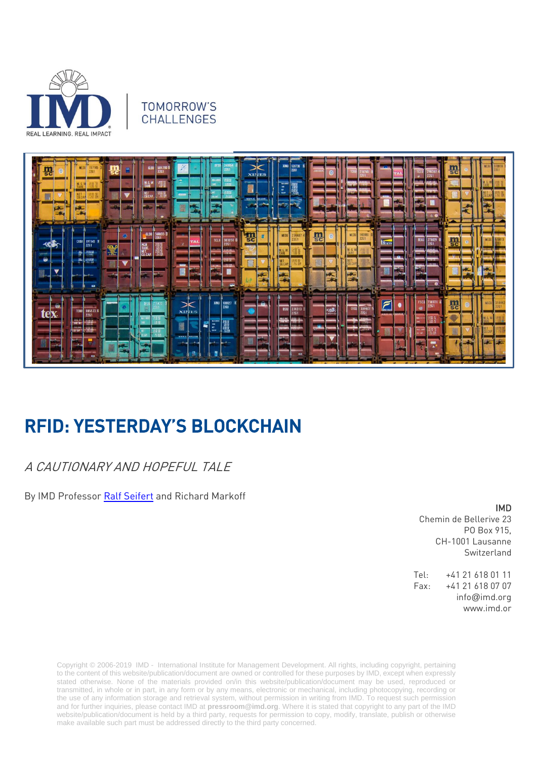

#### TOMORROW'S **CHALLENGES**



# RFID: YESTERDAY'S BLOCKCHAIN

## A CAUTIONARY AND HOPEFUL TALE

By IMD Professor [Ralf Seifert](https://www.imd.org/faculty/professors/ralf-seifert/) and Richard Markoff

#### IMD

Chemin de Bellerive 23 PO Box 915, CH-1001 Lausanne Switzerland

Tel: +41 21 618 01 11 Fax: +41 21 618 07 07 info@imd.org www.imd.or

Copyright © 2006-2019 IMD - International Institute for Management Development. All rights, including copyright, pertaining to the content of this website/publication/document are owned or controlled for these purposes by IMD, except when expressly stated otherwise. None of the materials provided on/in this website/publication/document may be used, reproduced or transmitted, in whole or in part, in any form or by any means, electronic or mechanical, including photocopying, recording or the use of any information storage and retrieval system, without permission in writing from IMD. To request such permission and for further inquiries, please contact IMD at **[pressroom@imd.org](mailto:pressroom@imd.org)**. Where it is stated that copyright to any part of the IMD website/publication/document is held by a third party, requests for permission to copy, modify, translate, publish or otherwise make available such part must be addressed directly to the third party concerned.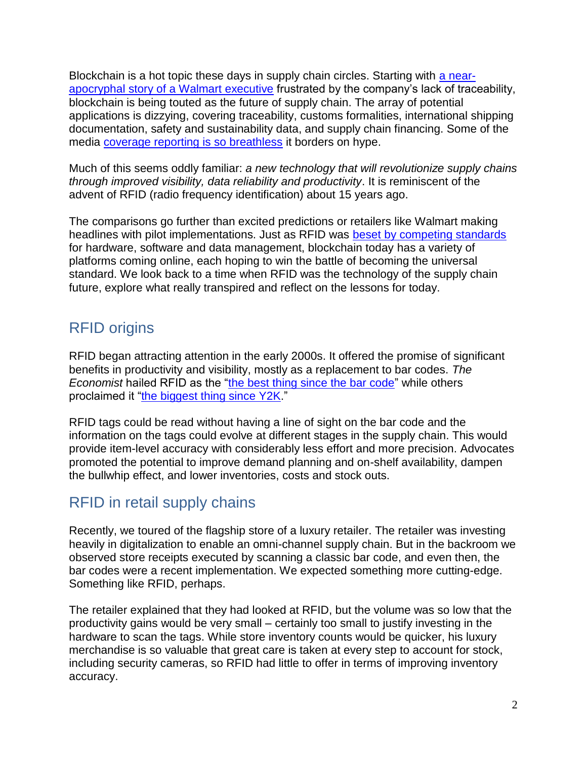Blockchain is a hot topic these days in supply chain circles. Starting with [a near](file:///C:/Users/MiSavage/AppData/Local/Microsoft/Windows/INetCache/Content.Outlook/EP734O6A/Robert%20Hackett)[apocryphal story of a Walmart executive](file:///C:/Users/MiSavage/AppData/Local/Microsoft/Windows/INetCache/Content.Outlook/EP734O6A/Robert%20Hackett) frustrated by the company's lack of traceability, blockchain is being touted as the future of supply chain. The array of potential applications is dizzying, covering traceability, customs formalities, international shipping documentation, safety and sustainability data, and supply chain financing. Some of the media [coverage reporting is so breathless](https://www.inc.com/james-paine/how-blockchain-is-disrupting-supply-chain-management.html) it borders on hype.

Much of this seems oddly familiar: *a new technology that will revolutionize supply chains through improved visibility, data reliability and productivity*. It is reminiscent of the advent of RFID (radio frequency identification) about 15 years ago.

The comparisons go further than excited predictions or retailers like Walmart making headlines with pilot implementations. Just as RFID was [beset by competing standards](https://www.strategy-business.com/article/04411) for hardware, software and data management, blockchain today has a variety of platforms coming online, each hoping to win the battle of becoming the universal standard. We look back to a time when RFID was the technology of the supply chain future, explore what really transpired and reflect on the lessons for today.

# RFID origins

RFID began attracting attention in the early 2000s. It offered the promise of significant benefits in productivity and visibility, mostly as a replacement to bar codes. *The Economist* hailed RFID as the ["the best thing since the bar code"](https://www.economist.com/business/2003/02/06/the-best-thing-since-the-bar-code) while others proclaimed it ["the biggest thing since Y2K.](https://www.csoonline.com/article/2116536/data-protection/rfid-will-be-bigger-than-y2k.html)"

RFID tags could be read without having a line of sight on the bar code and the information on the tags could evolve at different stages in the supply chain. This would provide item-level accuracy with considerably less effort and more precision. Advocates promoted the potential to improve demand planning and on-shelf availability, dampen the bullwhip effect, and lower inventories, costs and stock outs.

# RFID in retail supply chains

Recently, we toured of the flagship store of a luxury retailer. The retailer was investing heavily in digitalization to enable an omni-channel supply chain. But in the backroom we observed store receipts executed by scanning a classic bar code, and even then, the bar codes were a recent implementation. We expected something more cutting-edge. Something like RFID, perhaps.

The retailer explained that they had looked at RFID, but the volume was so low that the productivity gains would be very small – certainly too small to justify investing in the hardware to scan the tags. While store inventory counts would be quicker, his luxury merchandise is so valuable that great care is taken at every step to account for stock, including security cameras, so RFID had little to offer in terms of improving inventory accuracy.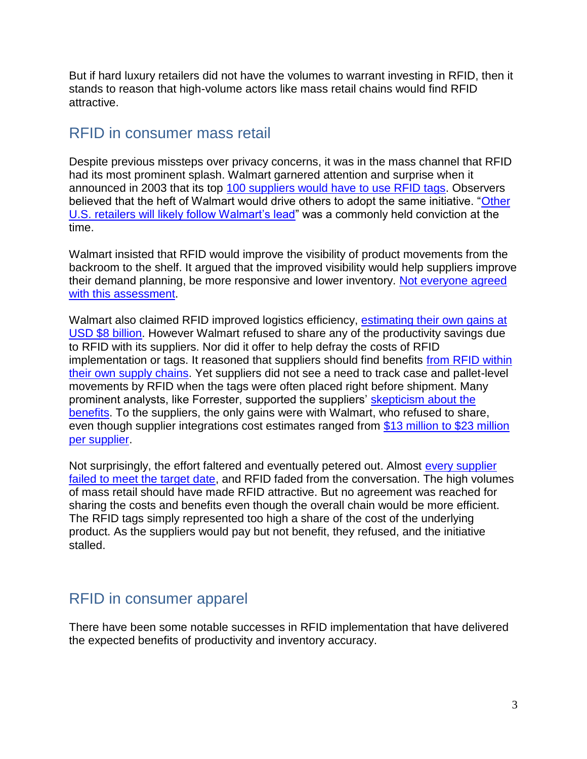But if hard luxury retailers did not have the volumes to warrant investing in RFID, then it stands to reason that high-volume actors like mass retail chains would find RFID attractive.

## RFID in consumer mass retail

Despite previous missteps over privacy concerns, it was in the mass channel that RFID had its most prominent splash. Walmart garnered attention and surprise when it announced in 2003 that its top [100 suppliers would have to use RFID tags.](https://www.wired.com/2003/11/Walmart-dod-forcing-rfid/) Observers believed that the heft of Walmart would drive others to adopt the same initiative. "Other [U.S. retailers will likely follow Walmart's lead"](https://www.extremetech.com/extreme/56006-walmart-drives-rfid) was a commonly held conviction at the time.

Walmart insisted that RFID would improve the visibility of product movements from the backroom to the shelf. It argued that the improved visibility would help suppliers improve their demand planning, be more responsive and lower inventory. [Not everyone agreed](https://www.infoworld.com/article/2667832/database/Walmart-promises-rfid-will-benefit-suppliers.html)  [with this assessment.](https://www.infoworld.com/article/2667832/database/Walmart-promises-rfid-will-benefit-suppliers.html)

Walmart also claimed RFID improved logistics efficiency, estimating their own gains at [USD \\$8 billion.](https://www.extremetech.com/extreme/56006-walmart-drives-rfid) However Walmart refused to share any of the productivity savings due to RFID with its suppliers. Nor did it offer to help defray the costs of RFID implementation or tags. It reasoned that suppliers should find benefits [from RFID within](https://www.computerworld.com/article/2573814/Walmart-suppliers-shoulder-burden-of-daunting-rfid-effort.html)  [their own supply chains.](https://www.computerworld.com/article/2573814/Walmart-suppliers-shoulder-burden-of-daunting-rfid-effort.html) Yet suppliers did not see a need to track case and pallet-level movements by RFID when the tags were often placed right before shipment. Many prominent analysts, like Forrester, supported the suppliers' [skepticism about the](https://www.informationweek.com/report-most-Walmart-suppliers-wont-meet-rfid-deadline/d/d-id/1024162)  [benefits.](https://www.informationweek.com/report-most-Walmart-suppliers-wont-meet-rfid-deadline/d/d-id/1024162) To the suppliers, the only gains were with Walmart, who refused to share, even though supplier integrations cost estimates ranged from [\\$13 million to \\$23 million](https://www.computerworld.com/article/2573814/Walmart-suppliers-shoulder-burden-of-daunting-rfid-effort.html)  [per supplier.](https://www.computerworld.com/article/2573814/Walmart-suppliers-shoulder-burden-of-daunting-rfid-effort.html)

Not surprisingly, the effort faltered and eventually petered out. Almost [every supplier](http://www.baselinemag.com/c/a/Projects-Supply-Chain/Cover-Story-WalMarts-Faltering-RFID-Initiative)  [failed to meet the target date,](http://www.baselinemag.com/c/a/Projects-Supply-Chain/Cover-Story-WalMarts-Faltering-RFID-Initiative) and RFID faded from the conversation. The high volumes of mass retail should have made RFID attractive. But no agreement was reached for sharing the costs and benefits even though the overall chain would be more efficient. The RFID tags simply represented too high a share of the cost of the underlying product. As the suppliers would pay but not benefit, they refused, and the initiative stalled.

## RFID in consumer apparel

There have been some notable successes in RFID implementation that have delivered the expected benefits of productivity and inventory accuracy.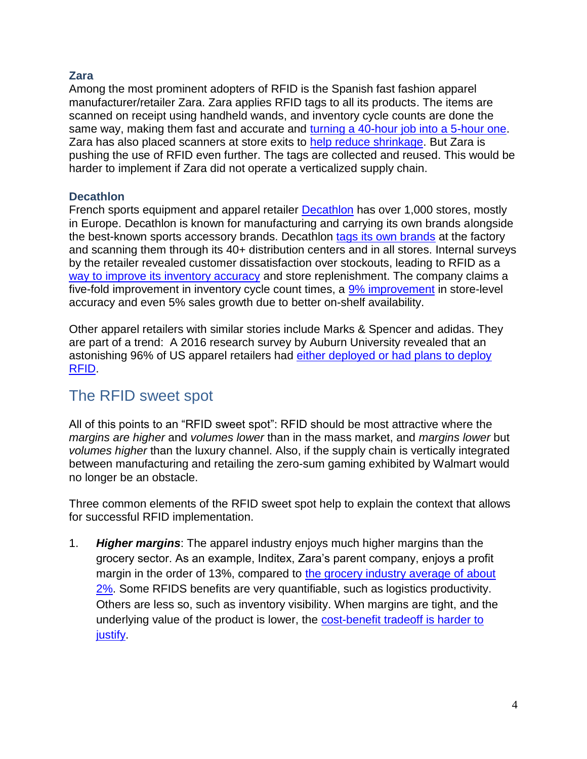#### **Zara**

Among the most prominent adopters of RFID is the Spanish fast fashion apparel manufacturer/retailer Zara. Zara applies RFID tags to all its products. The items are scanned on receipt using handheld wands, and inventory cycle counts are done the same way, making them fast and accurate and [turning a 40-hour job into a 5-hour one.](https://www.engadget.com/2017/08/22/rfid-tags-in-fashion/) Zara has also placed scanners at store exits to [help reduce shrinkage.](https://www.inditex.com/article?articleId=150174&title=Inditex+deploys+RFID+technology+in+its+stores) But Zara is pushing the use of RFID even further. The tags are collected and reused. This would be harder to implement if Zara did not operate a verticalized supply chain.

#### **Decathlon**

French sports equipment and apparel retailer **Decathlon** has over 1,000 stores, mostly in Europe. Decathlon is known for manufacturing and carrying its own brands alongside the best-known sports accessory brands. Decathlon [tags its own brands](https://www.cisper.nl/decathlon-uses-rfid-to-identify-millions-of-items-worldwide/) at the factory and scanning them through its 40+ distribution centers and in all stores. Internal surveys by the retailer revealed customer dissatisfaction over stockouts, leading to RFID as a [way to improve its inventory accuracy](http://www.rfidjournal.com/articles/view?1462) and store replenishment. The company claims a five-fold improvement in inventory cycle count times, a [9% improvement](http://www.rfidhy.com/decathlons-rfid-project-achieved-remarkable-results/) in store-level accuracy and even 5% sales growth due to better on-shelf availability.

Other apparel retailers with similar stories include Marks & Spencer and adidas. They are part of a trend: A 2016 research survey by Auburn University revealed that an astonishing 96% of US apparel retailers had [either deployed or had plans to deploy](https://rfid.auburn.edu/papers/2016-state-rfid-adoption-among-u-s-apparel-retailers/)  [RFID.](https://rfid.auburn.edu/papers/2016-state-rfid-adoption-among-u-s-apparel-retailers/)

### The RFID sweet spot

All of this points to an "RFID sweet spot": RFID should be most attractive where the *margins are higher* and *volumes lower* than in the mass market, and *margins lower* but *volumes higher* than the luxury channel. Also, if the supply chain is vertically integrated between manufacturing and retailing the zero-sum gaming exhibited by Walmart would no longer be an obstacle.

Three common elements of the RFID sweet spot help to explain the context that allows for successful RFID implementation.

1. *Higher margins*: The apparel industry enjoys much higher margins than the grocery sector. As an example, Inditex, Zara's parent company, enjoys a profit margin in the order of 13%, compared to the grocery industry average of about [2%.](https://yourbusiness.azcentral.com/profit-margin-supermarket-17711.html) Some RFIDS benefits are very quantifiable, such as logistics productivity. Others are less so, such as inventory visibility. When margins are tight, and the underlying value of the product is lower, the [cost-benefit tradeoff is harder to](https://www.zdnet.com/article/did-wal-mart-love-rfid-to-death/)  [justify.](https://www.zdnet.com/article/did-wal-mart-love-rfid-to-death/)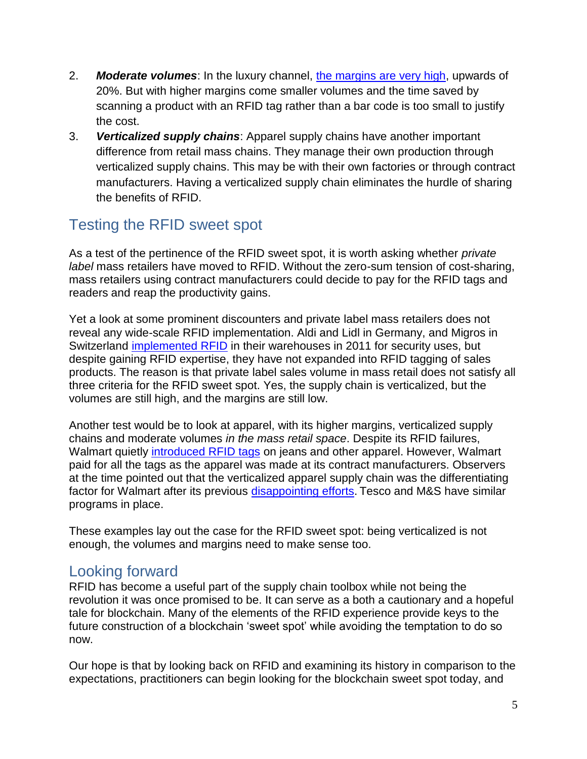- 2. *Moderate volumes*: In the luxury channel, [the margins are very high,](https://www.permanentstyle.com/2014/12/luxury-profit-margins.html) upwards of 20%. But with higher margins come smaller volumes and the time saved by scanning a product with an RFID tag rather than a bar code is too small to justify the cost.
- 3. *Verticalized supply chains*: Apparel supply chains have another important difference from retail mass chains. They manage their own production through verticalized supply chains. This may be with their own factories or through contract manufacturers. Having a verticalized supply chain eliminates the hurdle of sharing the benefits of RFID.

# Testing the RFID sweet spot

As a test of the pertinence of the RFID sweet spot, it is worth asking whether *private label* mass retailers have moved to RFID. Without the zero-sum tension of cost-sharing, mass retailers using contract manufacturers could decide to pay for the RFID tags and readers and reap the productivity gains.

Yet a look at some prominent discounters and private label mass retailers does not reveal any wide-scale RFID implementation. Aldi and Lidl in Germany, and Migros in Switzerland [implemented RFID](http://www.rfidjournal.com/articles/view?8711) in their warehouses in 2011 for security uses, but despite gaining RFID expertise, they have not expanded into RFID tagging of sales products. The reason is that private label sales volume in mass retail does not satisfy all three criteria for the RFID sweet spot. Yes, the supply chain is verticalized, but the volumes are still high, and the margins are still low.

Another test would be to look at apparel, with its higher margins, verticalized supply chains and moderate volumes *in the mass retail space*. Despite its RFID failures, Walmart quietly [introduced RFID tags](https://idc-community.com/retail/retailomnichannelstrategies/walmartsrfideffortsinapparelnotwhatsomemig) on jeans and other apparel. However, Walmart paid for all the tags as the apparel was made at its contract manufacturers. Observers at the time pointed out that the verticalized apparel supply chain was the differentiating factor for Walmart after its previous [disappointing efforts.](http://www.scdigest.com/assets/On_Target/10-07-28-1.php?cid=3609) Tesco and M&S have similar programs in place.

These examples lay out the case for the RFID sweet spot: being verticalized is not enough, the volumes and margins need to make sense too.

## Looking forward

RFID has become a useful part of the supply chain toolbox while not being the revolution it was once promised to be. It can serve as a both a cautionary and a hopeful tale for blockchain. Many of the elements of the RFID experience provide keys to the future construction of a blockchain 'sweet spot' while avoiding the temptation to do so now.

Our hope is that by looking back on RFID and examining its history in comparison to the expectations, practitioners can begin looking for the blockchain sweet spot today, and